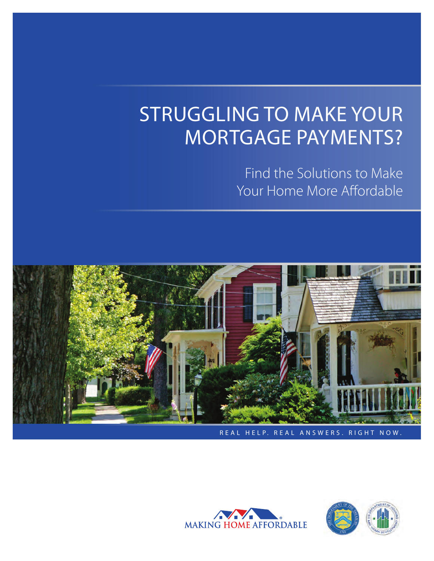# STRUGGLING TO MAKE YOUR MORTGAGE PAYMENTS?

Find the Solutions to Make Your Home More Affordable





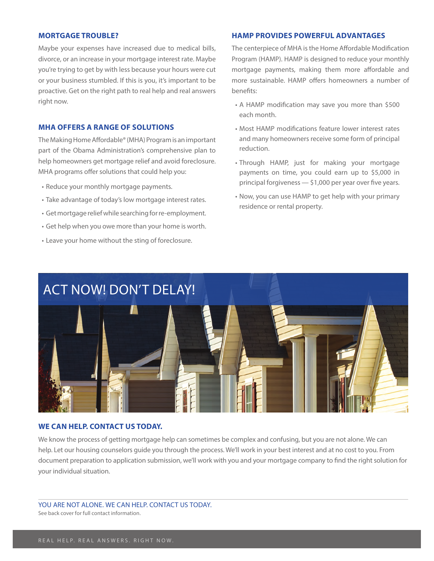#### **MORTGAGE TROUBLE?**

Maybe your expenses have increased due to medical bills, divorce, or an increase in your mortgage interest rate. Maybe you're trying to get by with less because your hours were cut or your business stumbled. If this is you, it's important to be proactive. Get on the right path to real help and real answers right now.

#### **MHA OFFERS A RANGE OF SOLUTIONS**

The Making Home Affordable® (MHA) Program is an important part of the Obama Administration's comprehensive plan to help homeowners get mortgage relief and avoid foreclosure. MHA programs offer solutions that could help you:

- Reduce your monthly mortgage payments.
- Take advantage of today's low mortgage interest rates.
- Get mortgage relief while searching for re-employment.
- • Get help when you owe more than your home is worth.
- Leave your home without the sting of foreclosure.

#### **HAMP PROVIDES POWERFUL ADVANTAGES**

The centerpiece of MHA is the Home Affordable Modification Program (HAMP). HAMP is designed to reduce your monthly mortgage payments, making them more affordable and more sustainable. HAMP offers homeowners a number of benefits:

- A HAMP modification may save you more than \$500 each month.
- Most HAMP modifications feature lower interest rates and many homeowners receive some form of principal reduction.
- Through HAMP, just for making your mortgage payments on time, you could earn up to \$5,000 in principal forgiveness  $-$  \$1,000 per year over five years.
- Now, you can use HAMP to get help with your primary residence or rental property.



#### **WE CAN HELP. CONTACT US TODAY.**

We know the process of getting mortgage help can sometimes be complex and confusing, but you are not alone. We can help. Let our housing counselors guide you through the process. We'll work in your best interest and at no cost to you. From document preparation to application submission, we'll work with you and your mortgage company to find the right solution for your individual situation.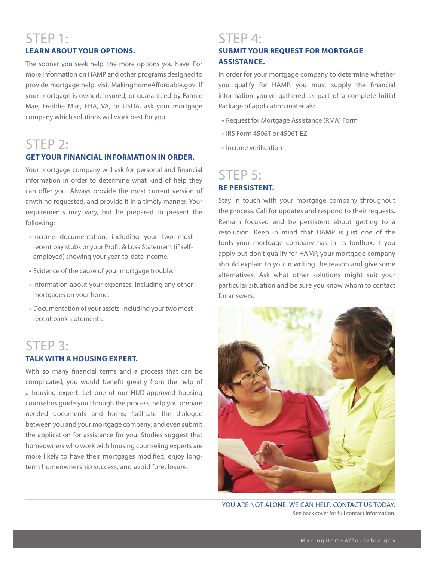# STEP 1: **LEARN ABOUT YOUR OPTIONS.**

The sooner you seek help, the more options you have. For more information on HAMP and other programs designed to provide mortgage help, visit MakingHomeAffordable.gov. If your mortgage is owned, insured, or guaranteed by Fannie Mae, Freddie Mac, FHA, VA, or USDA, ask your mortgage company which solutions will work best for you.

# STEP 2:

#### **GET YOUR FINANCIAL INFORMATION IN ORDER.**

Your mortgage company will ask for personal and financial information in order to determine what kind of help they can offer you. Always provide the most current version of anything requested, and provide it in a timely manner. Your requirements may vary, but be prepared to present the following:

- • Income documentation, including your two most recent pay stubs or your Profit & Loss Statement (if selfemployed) showing your year-to-date income.
- Evidence of the cause of your mortgage trouble.
- • Information about your expenses, including any other mortgages on your home.
- Documentation of your assets, including your two most recent bank statements.

## STEP 3: **TALK WITH A HOUSING EXPERT.**

With so many financial terms and a process that can be complicated, you would benefit greatly from the help of a housing expert. Let one of our HUD-approved housing counselors guide you through the process; help you prepare needed documents and forms; facilitate the dialogue between you and your mortgage company; and even submit the application for assistance for you. Studies suggest that homeowners who work with housing counseling experts are more likely to have their mortgages modified, enjoy longterm homeownership success, and avoid foreclosure.

# STEP 4: **SUBMIT YOUR REQUEST FOR MORTGAGE ASSISTANCE.**

In order for your mortgage company to determine whether you qualify for HAMP, you must supply the financial information you've gathered as part of a complete Initial Package of application materials:

- • Request for Mortgage Assistance (RMA) Form
- IRS Form 4506T or 4506T-FZ
- Income verification

## STEP 5: **BE PERSISTENT.**

Stay in touch with your mortgage company throughout the process. Call for updates and respond to their requests. Remain focused and be persistent about getting to a resolution. Keep in mind that HAMP is just one of the tools your mortgage company has in its toolbox. If you apply but don't qualify for HAMP, your mortgage company should explain to you in writing the reason and give some alternatives. Ask what other solutions might suit your particular situation and be sure you know whom to contact for answers.



YOU ARE NOT ALONE. WE CAN HELP. CONTACT US TODAY. See back cover for full contact information.